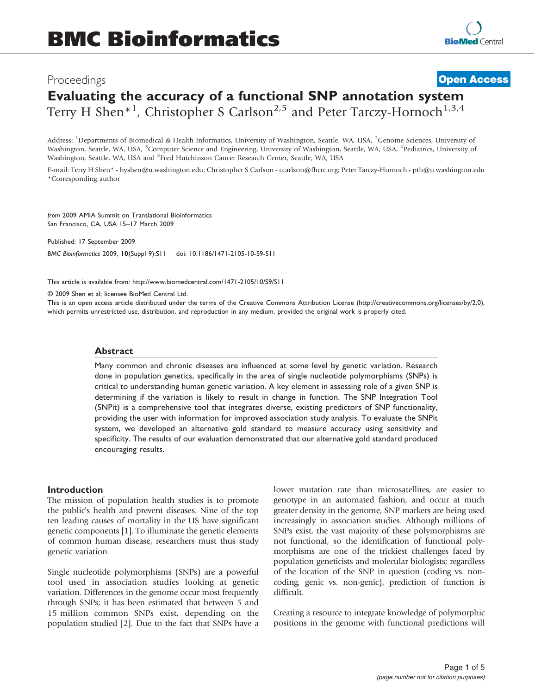## Proceedings Evaluating the accuracy of a functional SNP annotation system Terry H Shen\*<sup>1</sup>, Christopher S Carlson<sup>2,5</sup> and Peter Tarczy-Hornoch<sup>1,3,4</sup> **[Open Access](http://www.biomedcentral.com/info/about/charter/)**

Address: <sup>1</sup>Departments of Biomedical & Health Informatics, University of Washington, Seattle, WA, USA, <sup>2</sup>Genome Sciences, University of Washington, Seattle, WA, USA, <sup>3</sup>Computer Science and Engineering, University of Washington, Seattle, WA, USA, <sup>4</sup>Pediatrics, University of Washington, Seattle, WA, USA and <sup>5</sup>Fred Hutchinson Cancer Research Center, Seattle, WA, USA

E-mail: Terry H Shen\* - hyshen@u.washington.edu; Christopher S Carlson - ccarlson@fhcrc.org; Peter Tarczy-Hornoch - pth@u.washington.edu \*Corresponding author

from 2009 AMIA Summit on Translational Bioinformatics San Francisco, CA, USA 15–17 March 2009

Published: 17 September 2009 BMC Bioinformatics 2009, 10(Suppl 9):S11 doi: 10.1186/1471-2105-10-S9-S11

This article is available from: http://www.biomedcentral.com/1471-2105/10/S9/S11

© 2009 Shen et al; licensee BioMed Central Ltd.

This is an open access article distributed under the terms of the Creative Commons Attribution License [\(http://creativecommons.org/licenses/by/2.0\)](http://creativecommons.org/licenses/by/2.0), which permits unrestricted use, distribution, and reproduction in any medium, provided the original work is properly cited.

#### Abstract

Many common and chronic diseases are influenced at some level by genetic variation. Research done in population genetics, specifically in the area of single nucleotide polymorphisms (SNPs) is critical to understanding human genetic variation. A key element in assessing role of a given SNP is determining if the variation is likely to result in change in function. The SNP Integration Tool (SNPit) is a comprehensive tool that integrates diverse, existing predictors of SNP functionality, providing the user with information for improved association study analysis. To evaluate the SNPit system, we developed an alternative gold standard to measure accuracy using sensitivity and specificity. The results of our evaluation demonstrated that our alternative gold standard produced encouraging results.

#### Introduction

The mission of population health studies is to promote the public's health and prevent diseases. Nine of the top ten leading causes of mortality in the US have significant genetic components [[1\]](#page-4-0). To illuminate the genetic elements of common human disease, researchers must thus study genetic variation.

Single nucleotide polymorphisms (SNPs) are a powerful tool used in association studies looking at genetic variation. Differences in the genome occur most frequently through SNPs; it has been estimated that between 5 and 15 million common SNPs exist, depending on the population studied [[2](#page-4-0)]. Due to the fact that SNPs have a lower mutation rate than microsatellites, are easier to genotype in an automated fashion, and occur at much greater density in the genome, SNP markers are being used increasingly in association studies. Although millions of SNPs exist, the vast majority of these polymorphisms are not functional, so the identification of functional polymorphisms are one of the trickiest challenges faced by population geneticists and molecular biologists; regardless of the location of the SNP in question (coding vs. noncoding, genic vs. non-genic), prediction of function is difficult.

Creating a resource to integrate knowledge of polymorphic positions in the genome with functional predictions will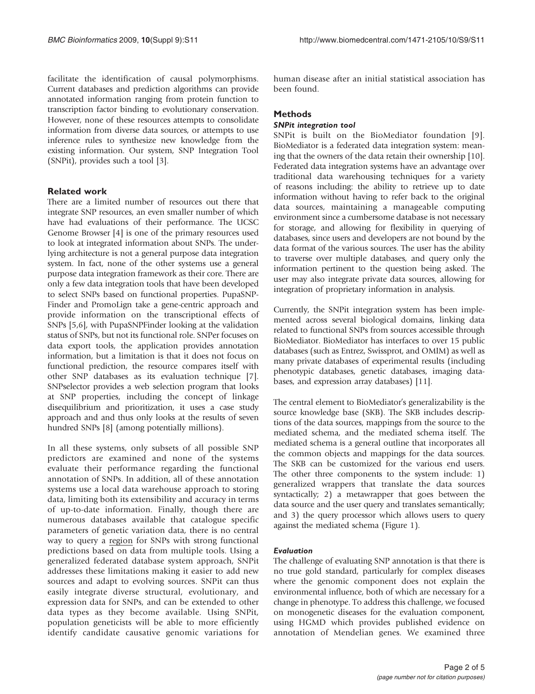facilitate the identification of causal polymorphisms. Current databases and prediction algorithms can provide annotated information ranging from protein function to transcription factor binding to evolutionary conservation. However, none of these resources attempts to consolidate information from diverse data sources, or attempts to use inference rules to synthesize new knowledge from the existing information. Our system, SNP Integration Tool (SNPit), provides such a tool [[3\]](#page-4-0).

#### Related work

There are a limited number of resources out there that integrate SNP resources, an even smaller number of which have had evaluations of their performance. The UCSC Genome Browser [\[4](#page-4-0)] is one of the primary resources used to look at integrated information about SNPs. The underlying architecture is not a general purpose data integration system. In fact, none of the other systems use a general purpose data integration framework as their core. There are only a few data integration tools that have been developed to select SNPs based on functional properties. PupaSNP-Finder and PromoLign take a gene-centric approach and provide information on the transcriptional effects of SNPs [[5,6\]](#page-4-0), with PupaSNPFinder looking at the validation status of SNPs, but not its functional role. SNPer focuses on data export tools, the application provides annotation information, but a limitation is that it does not focus on functional prediction, the resource compares itself with other SNP databases as its evaluation technique [\[7](#page-4-0)]. SNPselector provides a web selection program that looks at SNP properties, including the concept of linkage disequilibrium and prioritization, it uses a case study approach and and thus only looks at the results of seven hundred SNPs [\[8\]](#page-4-0) (among potentially millions).

In all these systems, only subsets of all possible SNP predictors are examined and none of the systems evaluate their performance regarding the functional annotation of SNPs. In addition, all of these annotation systems use a local data warehouse approach to storing data, limiting both its extensibility and accuracy in terms of up-to-date information. Finally, though there are numerous databases available that catalogue specific parameters of genetic variation data, there is no central way to query a region for SNPs with strong functional predictions based on data from multiple tools. Using a generalized federated database system approach, SNPit addresses these limitations making it easier to add new sources and adapt to evolving sources. SNPit can thus easily integrate diverse structural, evolutionary, and expression data for SNPs, and can be extended to other data types as they become available. Using SNPit, population geneticists will be able to more efficiently identify candidate causative genomic variations for human disease after an initial statistical association has been found.

### **Methods**

SNPit is built on the BioMediator foundation [[9](#page-4-0)]. BioMediator is a federated data integration system: meaning that the owners of the data retain their ownership [[10](#page-4-0)]. Federated data integration systems have an advantage over traditional data warehousing techniques for a variety of reasons including: the ability to retrieve up to date information without having to refer back to the original data sources, maintaining a manageable computing environment since a cumbersome database is not necessary for storage, and allowing for flexibility in querying of databases, since users and developers are not bound by the data format of the various sources. The user has the ability to traverse over multiple databases, and query only the information pertinent to the question being asked. The user may also integrate private data sources, allowing for integration of proprietary information in analysis.

Currently, the SNPit integration system has been implemented across several biological domains, linking data related to functional SNPs from sources accessible through BioMediator. BioMediator has interfaces to over 15 public databases (such as Entrez, Swissprot, and OMIM) as well as many private databases of experimental results (including phenotypic databases, genetic databases, imaging databases, and expression array databases) [\[11\]](#page-4-0).

The central element to BioMediator's generalizability is the source knowledge base (SKB). The SKB includes descriptions of the data sources, mappings from the source to the mediated schema, and the mediated schema itself. The mediated schema is a general outline that incorporates all the common objects and mappings for the data sources. The SKB can be customized for the various end users. The other three components to the system include: 1) generalized wrappers that translate the data sources syntactically; 2) a metawrapper that goes between the data source and the user query and translates semantically; and 3) the query processor which allows users to query against the mediated schema (Figure [1\)](#page-2-0).

#### **Evaluation**

The challenge of evaluating SNP annotation is that there is no true gold standard, particularly for complex diseases where the genomic component does not explain the environmental influence, both of which are necessary for a change in phenotype. To address this challenge, we focused on monogenetic diseases for the evaluation component, using HGMD which provides published evidence on annotation of Mendelian genes. We examined three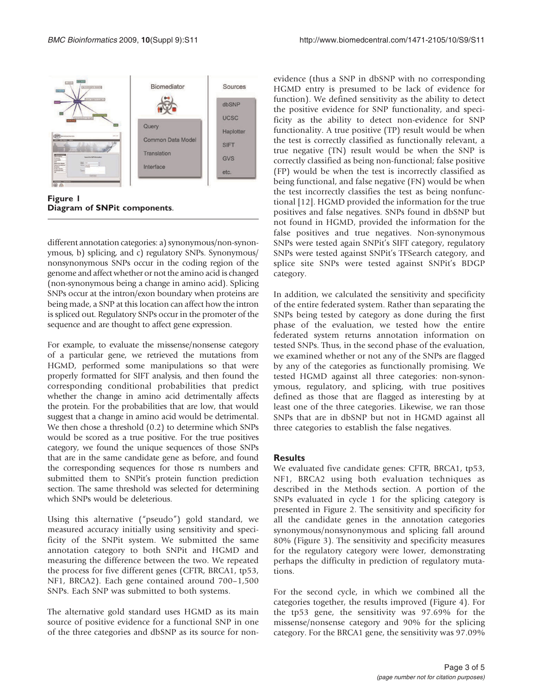<span id="page-2-0"></span>



different annotation categories: a) synonymous/non-synonymous, b) splicing, and c) regulatory SNPs. Synonymous/ nonsynonymous SNPs occur in the coding region of the genome and affect whether or not the amino acid is changed (non-synonymous being a change in amino acid). Splicing SNPs occur at the intron/exon boundary when proteins are being made, a SNP at this location can affect how the intron is spliced out. Regulatory SNPs occur in the promoter of the sequence and are thought to affect gene expression.

For example, to evaluate the missense/nonsense category of a particular gene, we retrieved the mutations from HGMD, performed some manipulations so that were properly formatted for SIFT analysis, and then found the corresponding conditional probabilities that predict whether the change in amino acid detrimentally affects the protein. For the probabilities that are low, that would suggest that a change in amino acid would be detrimental. We then chose a threshold (0.2) to determine which SNPs would be scored as a true positive. For the true positives category, we found the unique sequences of those SNPs that are in the same candidate gene as before, and found the corresponding sequences for those rs numbers and submitted them to SNPit's protein function prediction section. The same threshold was selected for determining which SNPs would be deleterious.

Using this alternative ("pseudo") gold standard, we measured accuracy initially using sensitivity and specificity of the SNPit system. We submitted the same annotation category to both SNPit and HGMD and measuring the difference between the two. We repeated the process for five different genes (CFTR, BRCA1, tp53, NF1, BRCA2). Each gene contained around 700–1,500 SNPs. Each SNP was submitted to both systems.

The alternative gold standard uses HGMD as its main source of positive evidence for a functional SNP in one of the three categories and dbSNP as its source for nonevidence (thus a SNP in dbSNP with no corresponding HGMD entry is presumed to be lack of evidence for function). We defined sensitivity as the ability to detect the positive evidence for SNP functionality, and specificity as the ability to detect non-evidence for SNP functionality. A true positive (TP) result would be when the test is correctly classified as functionally relevant, a true negative (TN) result would be when the SNP is correctly classified as being non-functional; false positive (FP) would be when the test is incorrectly classified as being functional, and false negative (FN) would be when the test incorrectly classifies the test as being nonfunctional [[12\]](#page-4-0). HGMD provided the information for the true positives and false negatives. SNPs found in dbSNP but not found in HGMD, provided the information for the false positives and true negatives. Non-synonymous SNPs were tested again SNPit's SIFT category, regulatory SNPs were tested against SNPit's TFSearch category, and splice site SNPs were tested against SNPit's BDGP category.

In addition, we calculated the sensitivity and specificity of the entire federated system. Rather than separating the SNPs being tested by category as done during the first phase of the evaluation, we tested how the entire federated system returns annotation information on tested SNPs. Thus, in the second phase of the evaluation, we examined whether or not any of the SNPs are flagged by any of the categories as functionally promising. We tested HGMD against all three categories: non-synonymous, regulatory, and splicing, with true positives defined as those that are flagged as interesting by at least one of the three categories. Likewise, we ran those SNPs that are in dbSNP but not in HGMD against all three categories to establish the false negatives.

#### **Results**

We evaluated five candidate genes: CFTR, BRCA1, tp53, NF1, BRCA2 using both evaluation techniques as described in the Methods section. A portion of the SNPs evaluated in cycle 1 for the splicing category is presented in Figure [2](#page-3-0). The sensitivity and specificity for all the candidate genes in the annotation categories synonymous/nonsynonymous and splicing fall around 80% (Figure [3](#page-3-0)). The sensitivity and specificity measures for the regulatory category were lower, demonstrating perhaps the difficulty in prediction of regulatory mutations.

For the second cycle, in which we combined all the categories together, the results improved (Figure [4](#page-3-0)). For the tp53 gene, the sensitivity was 97.69% for the missense/nonsense category and 90% for the splicing category. For the BRCA1 gene, the sensitivity was 97.09%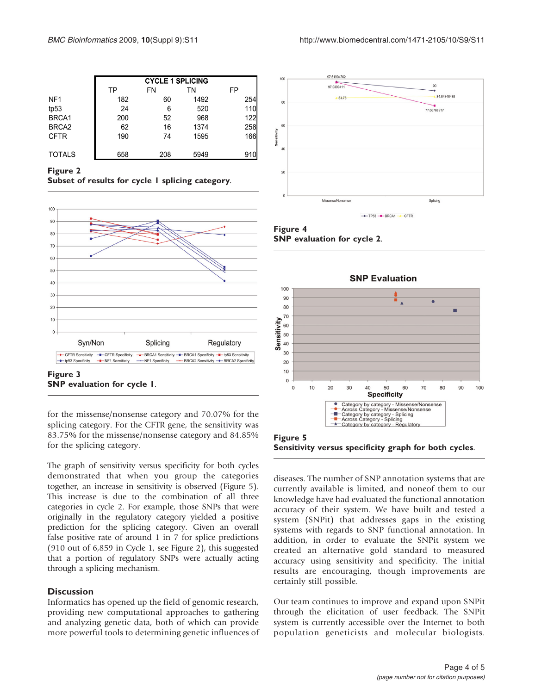|                   | <b>CYCLE 1 SPLICING</b> |     |      |     |
|-------------------|-------------------------|-----|------|-----|
|                   | ТP                      | FN  | TN   | FP  |
| NF <sub>1</sub>   | 182                     | 60  | 1492 | 254 |
| tp53              | 24                      | 6   | 520  | 110 |
| BRCA1             | 200                     | 52  | 968  | 122 |
| BRCA <sub>2</sub> | 62                      | 16  | 1374 | 258 |
| <b>CFTR</b>       | 190                     | 74  | 1595 | 166 |
| <b>TOTALS</b>     | 658                     | 208 | 5949 | 910 |

Figure 2

Subset of results for cycle 1 splicing category.



for the missense/nonsense category and 70.07% for the splicing category. For the CFTR gene, the sensitivity was 83.75% for the missense/nonsense category and 84.85% for the splicing category.

The graph of sensitivity versus specificity for both cycles demonstrated that when you group the categories together, an increase in sensitivity is observed (Figure 5). This increase is due to the combination of all three categories in cycle 2. For example, those SNPs that were originally in the regulatory category yielded a positive prediction for the splicing category. Given an overall false positive rate of around 1 in 7 for splice predictions (910 out of 6,859 in Cycle 1, see Figure 2), this suggested that a portion of regulatory SNPs were actually acting through a splicing mechanism.

#### **Discussion**

Informatics has opened up the field of genomic research, providing new computational approaches to gathering and analyzing genetic data, both of which can provide more powerful tools to determining genetic influences of

<span id="page-3-0"></span>





Figure 4 SNP evaluation for cycle 2.



Sensitivity versus specificity graph for both cycles.

diseases. The number of SNP annotation systems that are currently available is limited, and noneof them to our knowledge have had evaluated the functional annotation accuracy of their system. We have built and tested a system (SNPit) that addresses gaps in the existing systems with regards to SNP functional annotation. In addition, in order to evaluate the SNPit system we created an alternative gold standard to measured accuracy using sensitivity and specificity. The initial results are encouraging, though improvements are certainly still possible.

Our team continues to improve and expand upon SNPit through the elicitation of user feedback. The SNPit system is currently accessible over the Internet to both population geneticists and molecular biologists.